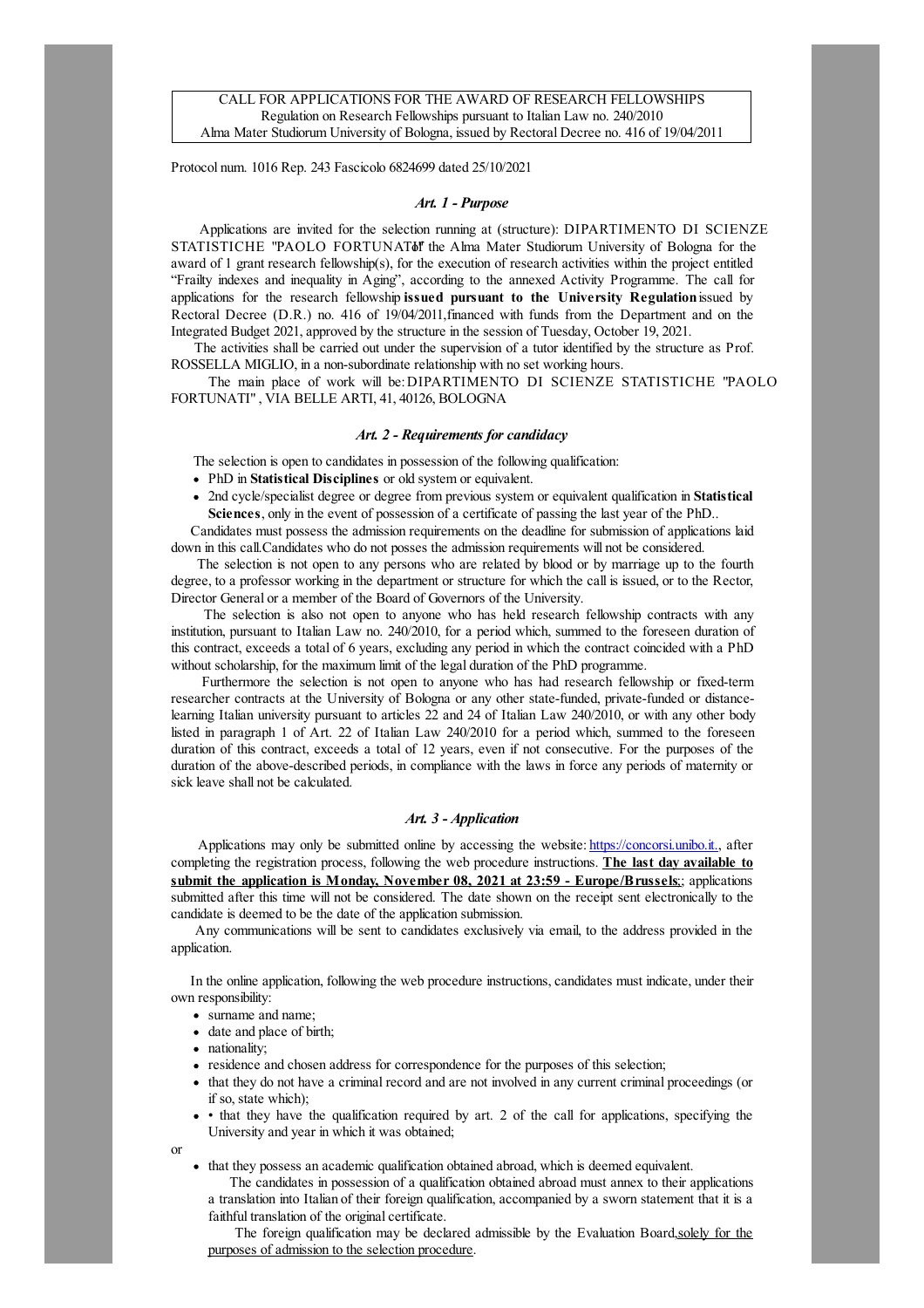Protocol num. 1016 Rep. 243 Fascicolo 6824699 dated 25/10/2021

### Art. 1 - Purpose

Applications are invited for the selection running at (structure): DIPARTIMENTO DI SCIENZE STATISTICHE "PAOLO FORTUNATUM the Alma Mater Studiorum University of Bologna for the award of 1 grant research fellowship(s), for the execution of research activities within the project entitled "Frailty indexes and inequality in Aging", according to the annexed Activity Programme. The call for applications for the research fellowship issued pursuant to the University Regulation issued by Rectoral Decree (D.R.) no. 416 of 19/04/2011,financed with funds from the Department and on the Integrated Budget 2021, approved by the structure in the session of Tuesday, October 19, 2021.

The activities shall be carried out under the supervision of a tutor identified by the structure as Prof. ROSSELLA MIGLIO, in a non-subordinate relationship with no set working hours.

The main place of work will be:DIPARTIMENTO DI SCIENZE STATISTICHE "PAOLO FORTUNATI", VIA BELLE ARTI, 41, 40126, BOLOGNA

## Art. 2 - Requirements for candidacy

The selection is open to candidates in possession of the following qualification:

- PhD in Statistical Disciplines or old system or equivalent.
- 2nd cycle/specialist degree or degree from previous system or equivalent qualification in **Statistical** Sciences, only in the event of possession of a certificate of passing the last year of the PhD..

Candidates must possess the admission requirements on the deadline for submission of applications laid down in this call.Candidates who do not posses the admission requirements will not be considered.

The selection is not open to any persons who are related by blood or by marriage up to the fourth degree, to a professor working in the department or structure for which the call is issued, or to the Rector, Director General or a member of the Board of Governors of the University.

The selection is also not open to anyone who has held research fellowship contracts with any institution, pursuant to Italian Law no. 240/2010, for a period which, summed to the foreseen duration of this contract, exceeds a total of 6 years, excluding any period in which the contract coincided with a PhD without scholarship, for the maximum limit of the legal duration of the PhD programme.

Furthermore the selection is not open to anyone who has had research fellowship or fixed-term researcher contracts at the University of Bologna or any other state-funded, private-funded or distancelearning Italian university pursuant to articles 22 and 24 of Italian Law 240/2010, or with any other body listed in paragraph 1 of Art. 22 of Italian Law 240/2010 for a period which, summed to the foreseen duration of this contract, exceeds a total of 12 years, even if not consecutive. For the purposes of the duration of the above-described periods, in compliance with the laws in force any periods of maternity or sick leave shall not be calculated.

### Art. 3 - Application

Applications may only be submitted online by accessing the website: [https://concorsi.unibo.it.](https://concorsi.unibo.it), after completing the registration process, following the web procedure instructions. The last day available to submit the application is Monday, November 08, 2021 at 23:59 - Europe/Brussels: applications submitted after this time will not be considered. The date shown on the receipt sent electronically to the candidate is deemed to be the date of the application submission.

Any communications will be sent to candidates exclusively via email, to the address provided in the application.

In the online application, following the web procedure instructions, candidates must indicate, under their own responsibility:

- surname and name;
- date and place of birth;
- nationality;
- residence and chosen address for correspondence for the purposes of this selection;
- that they do not have a criminal record and are not involved in any current criminal proceedings (or if so, state which);
- that they have the qualification required by art. 2 of the call for applications, specifying the University and year in which it was obtained;

that they possess an academic qualification obtained abroad, which is deemed equivalent.

The candidates in possession of a qualification obtained abroad must annex to their applications a translation into Italian of their foreign qualification, accompanied by a sworn statement that it is a faithful translation of the original certificate.

The foreign qualification may be declared admissible by the Evaluation Board,solely for the purposes of admission to the selection procedure.

or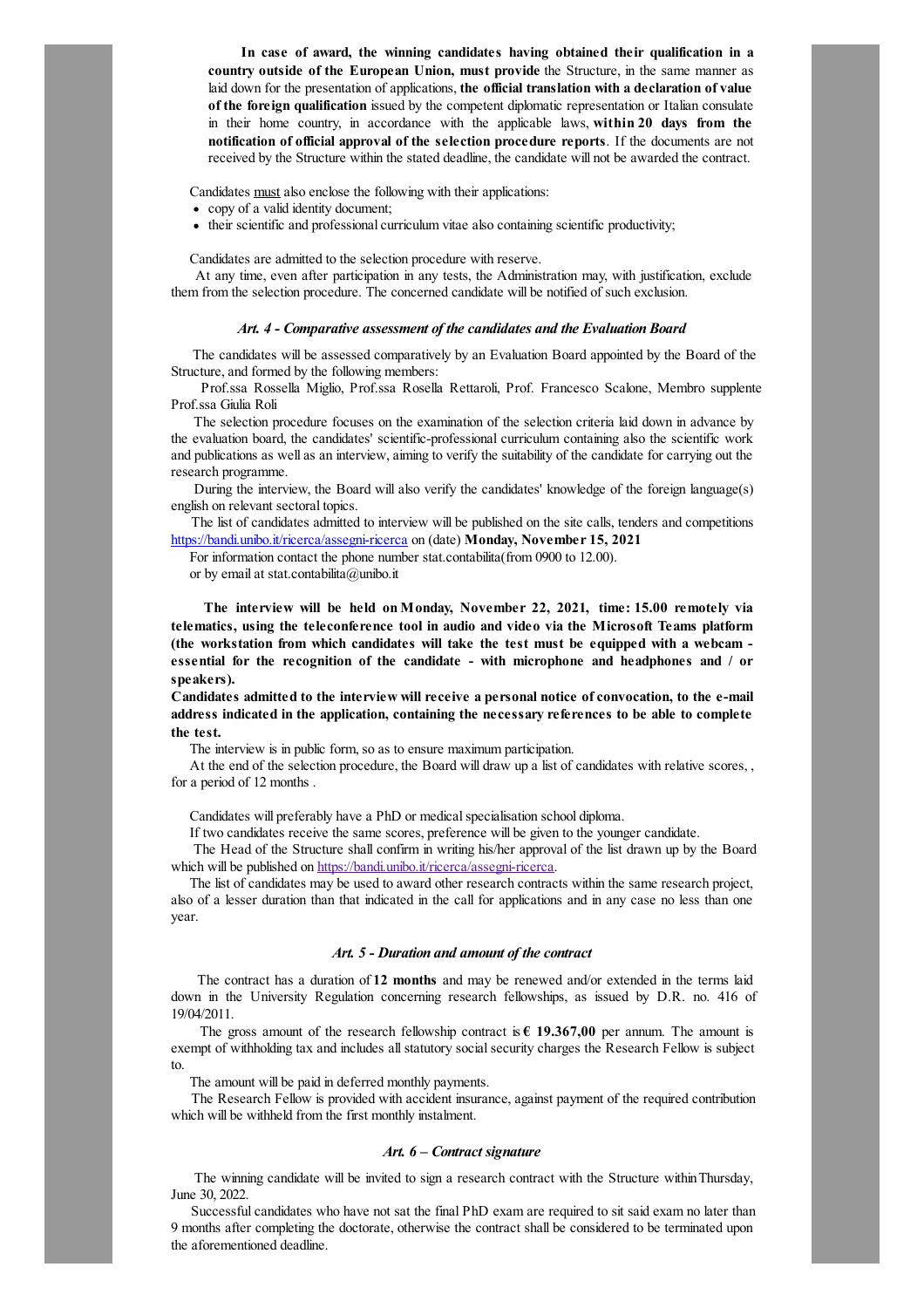In case of award, the winning candidates having obtained their qualification in a country outside of the European Union, must provide the Structure, in the same manner as laid down for the presentation of applications, the official translation with a declaration of value of the foreign qualification issued by the competent diplomatic representation or Italian consulate in their home country, in accordance with the applicable laws, within 20 days from the notification of official approval of the selection procedure reports. If the documents are not received by the Structure within the stated deadline, the candidate will not be awarded the contract.

Candidates must also enclose the following with their applications:

- copy of a valid identity document;
- their scientific and professional curriculum vitae also containing scientific productivity;

Candidates are admitted to the selection procedure with reserve.

At any time, even after participation in any tests, the Administration may, with justification, exclude them from the selection procedure. The concerned candidate will be notified of such exclusion.

### Art. 4 - Comparative assessment of the candidates and the Evaluation Board

The candidates will be assessed comparatively by an Evaluation Board appointed by the Board of the Structure, and formed by the following members:

Prof.ssa Rossella Miglio, Prof.ssa Rosella Rettaroli, Prof. Francesco Scalone, Membro supplente Prof.ssa Giulia Roli

The selection procedure focuses on the examination of the selection criteria laid down in advance by the evaluation board, the candidates' scientific-professional curriculum containing also the scientific work and publications as wellas an interview,aiming to verify the suitability of the candidate for carrying out the research programme.

During the interview, the Board will also verify the candidates' knowledge of the foreign language(s) english on relevant sectoral topics.

The list of candidates admitted to interview will be published on the site calls, tenders and competitions <https://bandi.unibo.it/ricerca/assegni-ricerca> on (date) Monday, November 15, 2021

For information contact the phone number stat.contabilita(from 0900 to 12.00).

or by emailat stat.contabilita@unibo.it

The interview will be held on Monday, November 22, 2021, time: 15.00 remotely via telematics, using the teleconference tool in audio and video via the Microsoft Teams platform (the workstation from which candidates will take the test must be equipped with a webcam essential for the recognition of the candidate - with microphone and headphones and / or speakers).

Candidates admitted to the interview will receive a personal notice ofconvocation, to the e-mail address indicated in the application, containing the necessary references to be able to complete the test.

The interview is in public form, so as to ensure maximum participation.

At the end of the selection procedure, the Board will draw up a list of candidates with relative scores, , for a period of 12 months .

Candidates will preferably have a PhD or medical specialisation school diploma.

If two candidates receive the same scores, preference will be given to the younger candidate.

The Head of the Structure shall confirm in writing his/her approval of the list drawn up by the Board which will be published on https://bandi.unibo.it/ricerca/assegni-ricerca.

The list of candidates may be used to award other research contracts within the same research project, also of a lesser duration than that indicated in the call for applications and in any case no less than one year.

#### Art. 5 - Duration and amount of the contract

The contract has a duration of 12 months and may be renewed and/or extended in the terms laid down in the University Regulation concerning research fellowships, as issued by D.R. no. 416 of 19/04/2011.

The gross amount of the research fellowship contract is  $\epsilon$  19.367,00 per annum. The amount is exempt of withholding tax and includes all statutory social security charges the Research Fellow is subject to.

The amount will be paid in deferred monthly payments.

The Research Fellow is provided with accident insurance, against payment of the required contribution which will be withheld from the first monthly instalment.

### Art. 6 – Contract signature

The winning candidate will be invited to sign a research contract with the Structure withinThursday, June 30, 2022.

Successful candidates who have not sat the final PhD exam are required to sit said exam no later than 9 months after completing the doctorate, otherwise the contract shall be considered to be terminated upon the aforementioned deadline.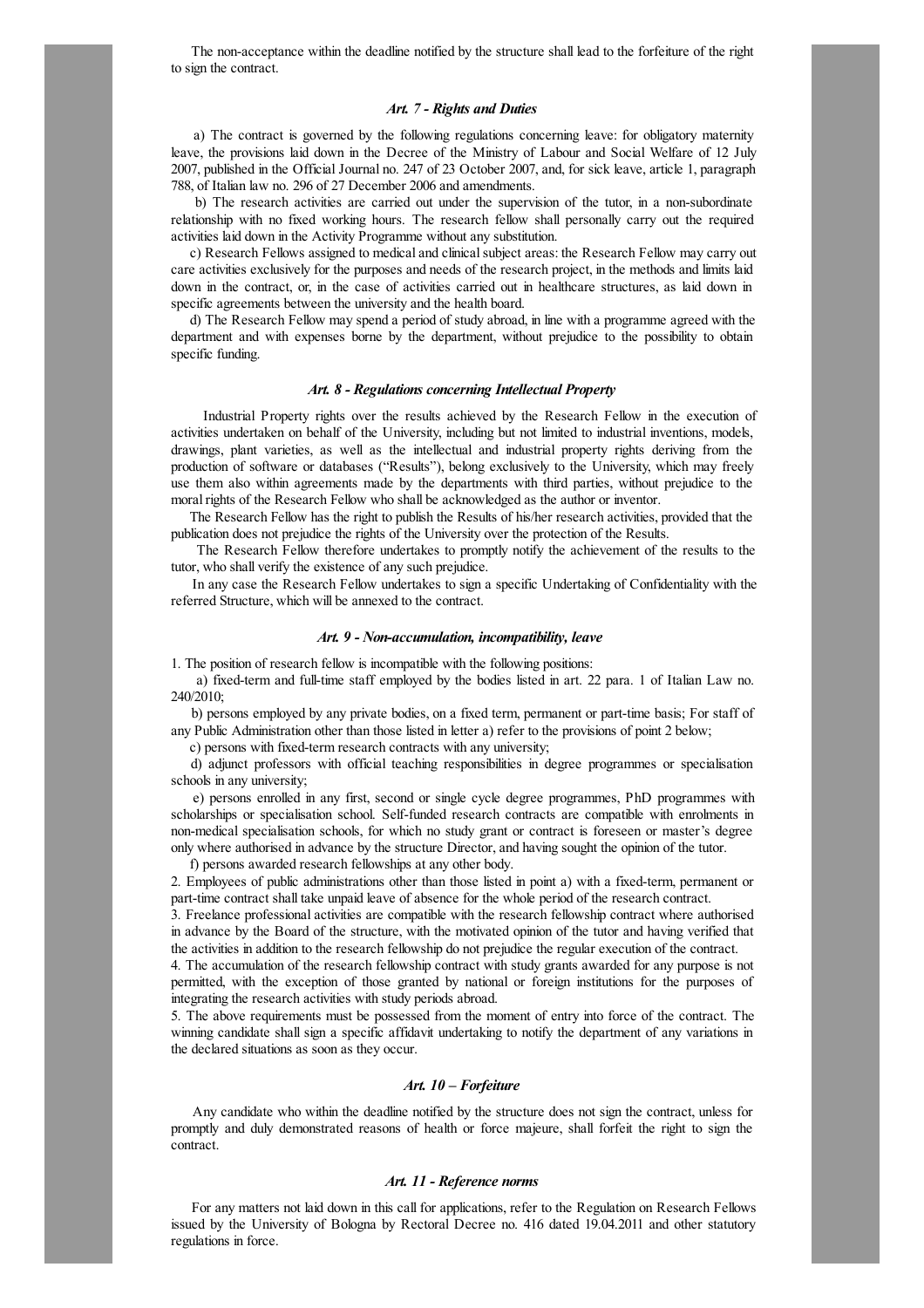The non-acceptance within the deadline notified by the structure shall lead to the forfeiture of the right to sign the contract.

# Art. 7 - Rights and Duties

a) The contract is governed by the following regulations concerning leave: for obligatory maternity leave, the provisions laid down in the Decree of the Ministry of Labour and Social Welfare of 12 July 2007, published in the Official Journal no. 247 of 23 October 2007, and, for sick leave, article 1, paragraph 788, of Italian law no. 296 of 27 December 2006 and amendments.

b) The research activities are carried out under the supervision of the tutor, in a non-subordinate relationship with no fixed working hours. The research fellow shall personally carry out the required activities laid down in the Activity Programme without any substitution.

c) Research Fellows assigned to medical and clinical subject areas: the Research Fellow may carry out care activities exclusively for the purposes and needs of the research project, in the methods and limits laid down in the contract, or, in the case of activities carried out in healthcare structures, as laid down in specific agreements between the university and the health board.

d) The Research Fellow may spend a period of study abroad, in line with a programme agreed with the department and with expenses borne by the department, without prejudice to the possibility to obtain specific funding.

### Art. 8 - Regulations concerning Intellectual Property

Industrial Property rights over the results achieved by the Research Fellow in the execution of activities undertaken on behalf of the University, including but not limited to industrial inventions, models, drawings, plant varieties, as well as the intellectual and industrial property rights deriving from the production of software or databases ("Results"), belong exclusively to the University, which may freely use them also within agreements made by the departments with third parties, without prejudice to the moral rights of the Research Fellow who shall be acknowledged as the author or inventor.

The Research Fellow has the right to publish the Results of his/her research activities, provided that the publication does not prejudice the rights of the University over the protection of the Results.

The Research Fellow therefore undertakes to promptly notify the achievement of the results to the tutor, who shall verify the existence of any such prejudice.

In any case the Research Fellow undertakes to sign a specific Undertaking of Confidentiality with the referred Structure, which will be annexed to the contract.

## Art. 9 - Non-accumulation, incompatibility, leave

1. The position of research fellow is incompatible with the following positions:

a) fixed-term and full-time staff employed by the bodies listed in art. 22 para. 1 of Italian Law no. 240/2010;

b) persons employed by any private bodies, on a fixed term, permanent or part-time basis; For staff of any Public Administration other than those listed in letter a) refer to the provisions of point 2 below;

c) persons with fixed-term research contracts with any university;

d) adjunct professors with official teaching responsibilities in degree programmes or specialisation schools in any university;

e) persons enrolled in any first, second or single cycle degree programmes, PhD programmes with scholarships or specialisation school. Self-funded research contracts are compatible with enrolments in non-medical specialisation schools, for which no study grant or contract is foreseen or master's degree only where authorised in advance by the structure Director,and having sought the opinion of the tutor.

f) persons awarded research fellowships at any other body.

2. Employees of public administrations other than those listed in point a) with a fixed-term, permanent or part-time contract shall take unpaid leave of absence for the whole period of the research contract.

3. Freelance professionalactivities are compatible with the research fellowship contract where authorised in advance by the Board of the structure, with the motivated opinion of the tutor and having verified that the activities in addition to the research fellowship do not prejudice the regular execution of the contract.

4. The accumulation of the research fellowship contract with study grants awarded for any purpose is not permitted, with the exception of those granted by national or foreign institutions for the purposes of integrating the research activities with study periods abroad.

5. The above requirements must be possessed from the moment of entry into force of the contract. The winning candidate shall sign a specific affidavit undertaking to notify the department of any variations in the declared situations as soon as they occur.

# Art. 10 – Forfeiture

Any candidate who within the deadline notified by the structure does not sign the contract, unless for promptly and duly demonstrated reasons of health or force majeure, shall forfeit the right to sign the contract.

# Art. 11 - Reference norms

For any matters not laid down in this call for applications, refer to the Regulation on Research Fellows issued by the University of Bologna by Rectoral Decree no. 416 dated 19.04.2011 and other statutory regulations in force.